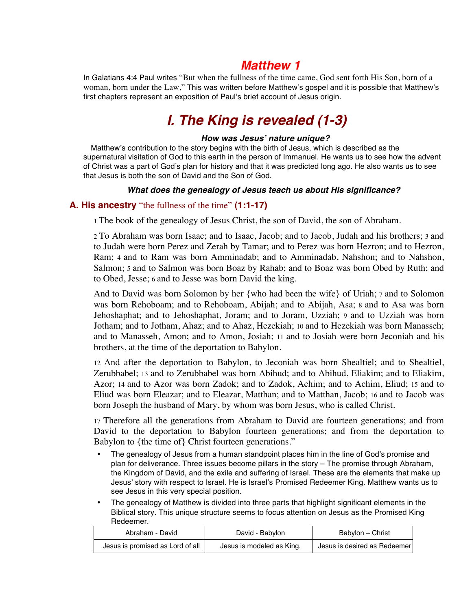# *Matthew 1*

In Galatians 4:4 Paul writes "But when the fullness of the time came, God sent forth His Son, born of a woman, born under the Law," This was written before Matthew's gospel and it is possible that Matthew's first chapters represent an exposition of Paul's brief account of Jesus origin.

# *I. The King is revealed (1-3)*

#### *How was Jesus***'** *nature unique?*

 Matthew's contribution to the story begins with the birth of Jesus, which is described as the supernatural visitation of God to this earth in the person of Immanuel. He wants us to see how the advent of Christ was a part of God's plan for history and that it was predicted long ago. He also wants us to see that Jesus is both the son of David and the Son of God.

#### *What does the genealogy of Jesus teach us about His significance?*

#### **A. His ancestry** "the fullness of the time" **(1:1-17)**

1 The book of the genealogy of Jesus Christ, the son of David, the son of Abraham.

2 To Abraham was born Isaac; and to Isaac, Jacob; and to Jacob, Judah and his brothers; 3 and to Judah were born Perez and Zerah by Tamar; and to Perez was born Hezron; and to Hezron, Ram; 4 and to Ram was born Amminadab; and to Amminadab, Nahshon; and to Nahshon, Salmon; 5 and to Salmon was born Boaz by Rahab; and to Boaz was born Obed by Ruth; and to Obed, Jesse; 6 and to Jesse was born David the king.

And to David was born Solomon by her {who had been the wife} of Uriah; 7 and to Solomon was born Rehoboam; and to Rehoboam, Abijah; and to Abijah, Asa; 8 and to Asa was born Jehoshaphat; and to Jehoshaphat, Joram; and to Joram, Uzziah; 9 and to Uzziah was born Jotham; and to Jotham, Ahaz; and to Ahaz, Hezekiah; 10 and to Hezekiah was born Manasseh; and to Manasseh, Amon; and to Amon, Josiah; 11 and to Josiah were born Jeconiah and his brothers, at the time of the deportation to Babylon.

12 And after the deportation to Babylon, to Jeconiah was born Shealtiel; and to Shealtiel, Zerubbabel; 13 and to Zerubbabel was born Abihud; and to Abihud, Eliakim; and to Eliakim, Azor; 14 and to Azor was born Zadok; and to Zadok, Achim; and to Achim, Eliud; 15 and to Eliud was born Eleazar; and to Eleazar, Matthan; and to Matthan, Jacob; 16 and to Jacob was born Joseph the husband of Mary, by whom was born Jesus, who is called Christ.

17 Therefore all the generations from Abraham to David are fourteen generations; and from David to the deportation to Babylon fourteen generations; and from the deportation to Babylon to {the time of} Christ fourteen generations."

- The genealogy of Jesus from a human standpoint places him in the line of God's promise and plan for deliverance. Three issues become pillars in the story – The promise through Abraham, the Kingdom of David, and the exile and suffering of Israel. These are the elements that make up Jesus' story with respect to Israel. He is Israel's Promised Redeemer King. Matthew wants us to see Jesus in this very special position.
- The genealogy of Matthew is divided into three parts that highlight significant elements in the Biblical story. This unique structure seems to focus attention on Jesus as the Promised King Redeemer.

| Abraham - David                  | David - Babylon           | Babylon - Christ             |
|----------------------------------|---------------------------|------------------------------|
| Jesus is promised as Lord of all | Jesus is modeled as King. | Jesus is desired as Redeemer |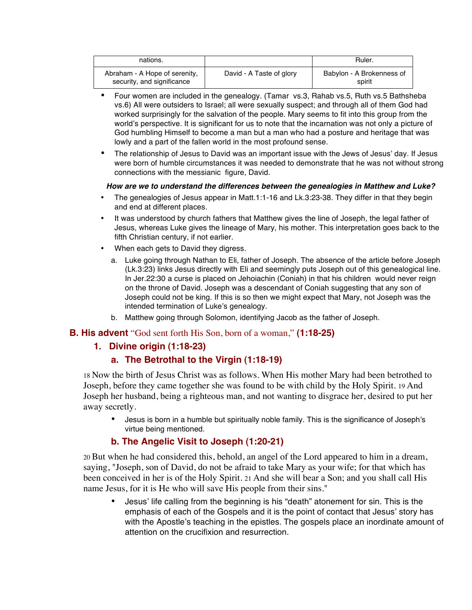| nations.                                                    |                          | Ruler.                              |
|-------------------------------------------------------------|--------------------------|-------------------------------------|
| Abraham - A Hope of serenity,<br>security, and significance | David - A Taste of glory | Babylon - A Brokenness of<br>spirit |

- Four women are included in the genealogy. (Tamar vs.3, Rahab vs.5, Ruth vs.5 Bathsheba vs.6) All were outsiders to Israel; all were sexually suspect; and through all of them God had worked surprisingly for the salvation of the people. Mary seems to fit into this group from the world's perspective. It is significant for us to note that the incarnation was not only a picture of God humbling Himself to become a man but a man who had a posture and heritage that was lowly and a part of the fallen world in the most profound sense.
- The relationship of Jesus to David was an important issue with the Jews of Jesus' day. If Jesus were born of humble circumstances it was needed to demonstrate that he was not without strong connections with the messianic figure, David.

#### *How are we to understand the differences between the genealogies in Matthew and Luke?*

- The genealogies of Jesus appear in Matt.1:1-16 and Lk.3:23-38. They differ in that they begin and end at different places.
- It was understood by church fathers that Matthew gives the line of Joseph, the legal father of Jesus, whereas Luke gives the lineage of Mary, his mother. This interpretation goes back to the fifth Christian century, if not earlier.
- When each gets to David they digress.
	- a. Luke going through Nathan to Eli, father of Joseph. The absence of the article before Joseph (Lk.3:23) links Jesus directly with Eli and seemingly puts Joseph out of this genealogical line. In Jer.22:30 a curse is placed on Jehoiachin (Coniah) in that his children would never reign on the throne of David. Joseph was a descendant of Coniah suggesting that any son of Joseph could not be king. If this is so then we might expect that Mary, not Joseph was the intended termination of Luke's genealogy.
	- b. Matthew going through Solomon, identifying Jacob as the father of Joseph.

#### **B. His advent** "God sent forth His Son, born of a woman," **(1:18-25)**

# **1. Divine origin (1:18-23)**

# **a. The Betrothal to the Virgin (1:18-19)**

18 Now the birth of Jesus Christ was as follows. When His mother Mary had been betrothed to Joseph, before they came together she was found to be with child by the Holy Spirit. 19 And Joseph her husband, being a righteous man, and not wanting to disgrace her, desired to put her away secretly.

• Jesus is born in a humble but spiritually noble family. This is the significance of Joseph's virtue being mentioned.

# **b. The Angelic Visit to Joseph (1:20-21)**

20 But when he had considered this, behold, an angel of the Lord appeared to him in a dream, saying, "Joseph, son of David, do not be afraid to take Mary as your wife; for that which has been conceived in her is of the Holy Spirit. 21 And she will bear a Son; and you shall call His name Jesus, for it is He who will save His people from their sins."

• Jesus' life calling from the beginning is his "death" atonement for sin. This is the emphasis of each of the Gospels and it is the point of contact that Jesus' story has with the Apostle's teaching in the epistles. The gospels place an inordinate amount of attention on the crucifixion and resurrection.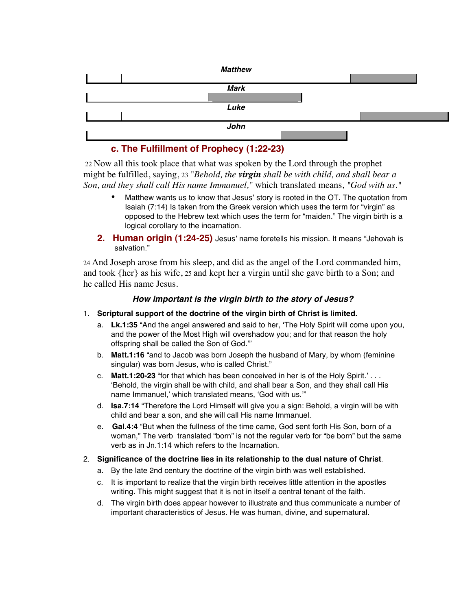| <b>Matthew</b> |  |
|----------------|--|
|                |  |
| <b>Mark</b>    |  |
|                |  |
| Luke           |  |
|                |  |
| John           |  |
|                |  |

# **c. The Fulfillment of Prophecy (1:22-23)**

 22 Now all this took place that what was spoken by the Lord through the prophet might be fulfilled, saying, 23 *"Behold, the virgin shall be with child, and shall bear a Son, and they shall call His name Immanuel,"* which translated means, *"God with us."*

- Matthew wants us to know that Jesus' story is rooted in the OT. The quotation from Isaiah (7:14) Is taken from the Greek version which uses the term for "virgin" as opposed to the Hebrew text which uses the term for "maiden." The virgin birth is a logical corollary to the incarnation.
- **2. Human origin (1:24-25)** Jesus' name foretells his mission. It means "Jehovah is salvation."

24 And Joseph arose from his sleep, and did as the angel of the Lord commanded him, and took {her} as his wife, 25 and kept her a virgin until she gave birth to a Son; and he called His name Jesus.

#### *How important is the virgin birth to the story of Jesus?*

- 1. **Scriptural support of the doctrine of the virgin birth of Christ is limited.**
	- a. **Lk.1:35** "And the angel answered and said to her, ʻThe Holy Spirit will come upon you, and the power of the Most High will overshadow you; and for that reason the holy offspring shall be called the Son of God.'"
	- b. **Matt.1:16** "and to Jacob was born Joseph the husband of Mary, by whom (feminine singular) was born Jesus, who is called Christ."
	- c. **Matt.1:20-23** "for that which has been conceived in her is of the Holy Spirit.' . . . ʻBehold, the virgin shall be with child, and shall bear a Son, and they shall call His name Immanuel,' which translated means, ʻGod with us.'"
	- d. **Isa.7:14** "Therefore the Lord Himself will give you a sign: Behold, a virgin will be with child and bear a son, and she will call His name Immanuel.
	- e. **Gal.4:4** "But when the fullness of the time came, God sent forth His Son, born of a woman," The verb translated "born" is not the regular verb for "be born" but the same verb as in Jn.1:14 which refers to the Incarnation.
- 2. **Significance of the doctrine lies in its relationship to the dual nature of Christ**.
	- a. By the late 2nd century the doctrine of the virgin birth was well established.
	- c. It is important to realize that the virgin birth receives little attention in the apostles writing. This might suggest that it is not in itself a central tenant of the faith.
	- d. The virgin birth does appear however to illustrate and thus communicate a number of important characteristics of Jesus. He was human, divine, and supernatural.